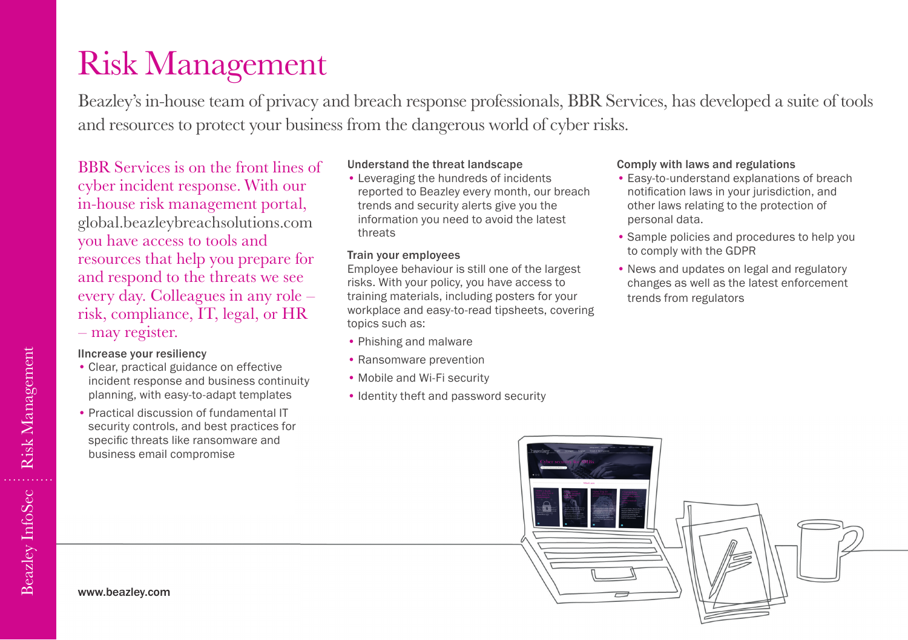# Risk Management

Beazley's in-house team of privacy and breach response professionals, BBR Services, has developed a suite of tools and resources to protect your business from the dangerous world of cyber risks.

BBR Services is on the front lines of cyber incident response. With our in-house risk management portal, global.beazleybreachsolutions.com you have access to tools and resources that help you prepare for and respond to the threats we see every day. Colleagues in any role – risk, compliance, IT, legal, or HR ‒ may register.

### IIncrease your resiliency

- Clear, practical guidance on effective incident response and business continuity planning, with easy-to-adapt templates
- Practical discussion of fundamental IT security controls, and best practices for specific threats like ransomware and business email compromise

#### Understand the threat landscape

• Leveraging the hundreds of incidents reported to Beazley every month, our breach trends and security alerts give you the information you need to avoid the latest threats

#### Train your employees

Employee behaviour is still one of the largest risks. With your policy, you have access to training materials, including posters for your workplace and easy-to-read tipsheets, covering topics such as:

- Phishing and malware
- Ransomware prevention
- Mobile and Wi-Fi security
- Identity theft and password security

#### Comply with laws and regulations

- Easy-to-understand explanations of breach notification laws in your jurisdiction, and other laws relating to the protection of personal data.
- Sample policies and procedures to help you to comply with the GDPR
- News and updates on legal and regulatory changes as well as the latest enforcement trends from regulators

www.beazley.com